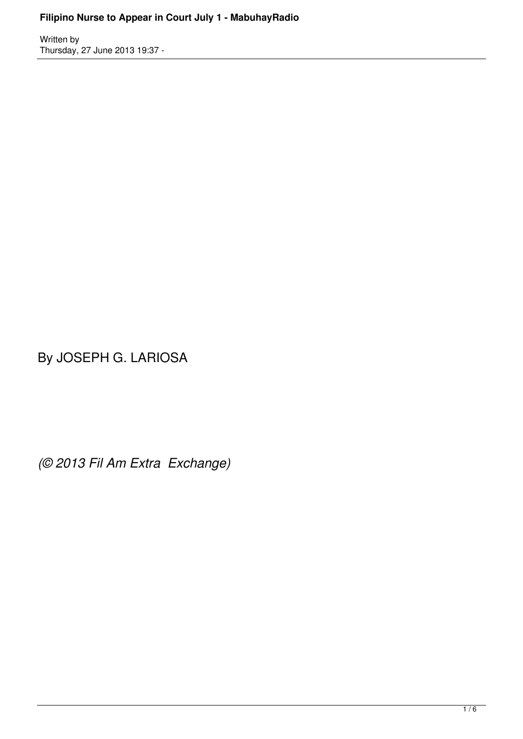## **Filipino Nurse to Appear in Court July 1 - MabuhayRadio**

Written by Thursday, 27 June 2013 19:37 -

By JOSEPH G. LARIOSA

*(© 2013 Fil Am Extra Exchange)*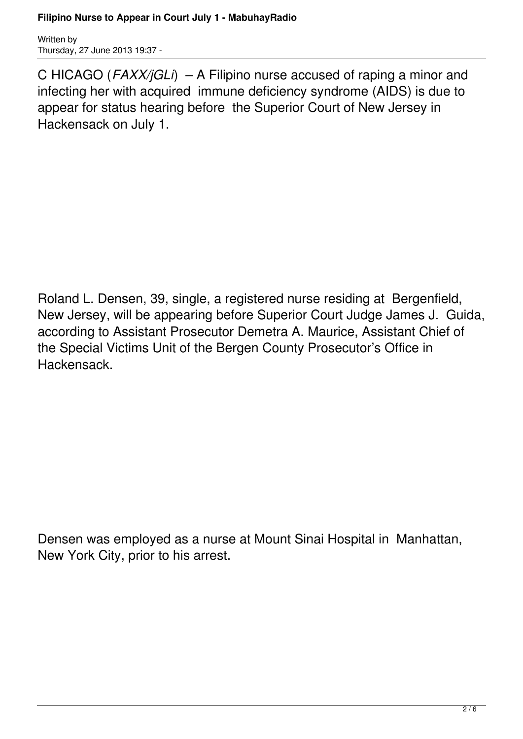## **Filipino Nurse to Appear in Court July 1 - MabuhayRadio**

Written by Thursday, 27 June 2013 19:37 -

C HICAGO (*FAXX/jGLi*) – A Filipino nurse accused of raping a minor and infecting her with acquired immune deficiency syndrome (AIDS) is due to appear for status hearing before the Superior Court of New Jersey in Hackensack on July 1.

Roland L. Densen, 39, single, a registered nurse residing at Bergenfield, New Jersey, will be appearing before Superior Court Judge James J. Guida, according to Assistant Prosecutor Demetra A. Maurice, Assistant Chief of the Special Victims Unit of the Bergen County Prosecutor's Office in Hackensack.

Densen was employed as a nurse at Mount Sinai Hospital in Manhattan, New York City, prior to his arrest.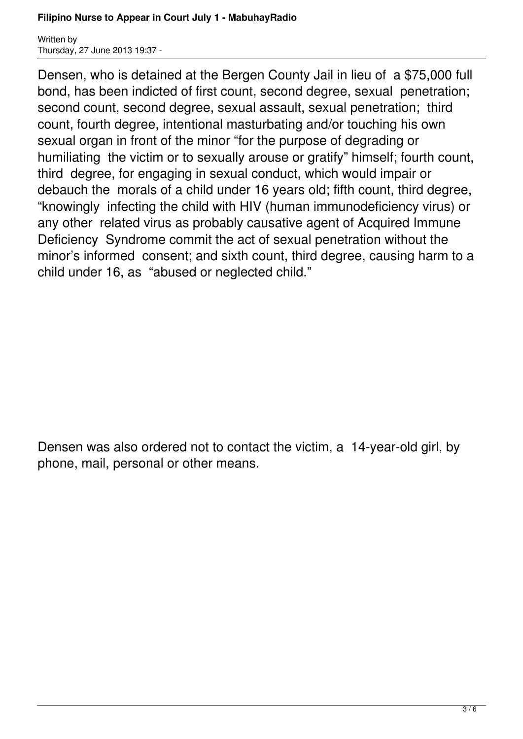## **Filipino Nurse to Appear in Court July 1 - MabuhayRadio**

Written by Thursday, 27 June 2013 19:37 -

Densen, who is detained at the Bergen County Jail in lieu of a \$75,000 full bond, has been indicted of first count, second degree, sexual penetration; second count, second degree, sexual assault, sexual penetration; third count, fourth degree, intentional masturbating and/or touching his own sexual organ in front of the minor "for the purpose of degrading or humiliating the victim or to sexually arouse or gratify" himself; fourth count, third degree, for engaging in sexual conduct, which would impair or debauch the morals of a child under 16 years old; fifth count, third degree, "knowingly infecting the child with HIV (human immunodeficiency virus) or any other related virus as probably causative agent of Acquired Immune Deficiency Syndrome commit the act of sexual penetration without the minor's informed consent; and sixth count, third degree, causing harm to a child under 16, as "abused or neglected child."

Densen was also ordered not to contact the victim, a 14-year-old girl, by phone, mail, personal or other means.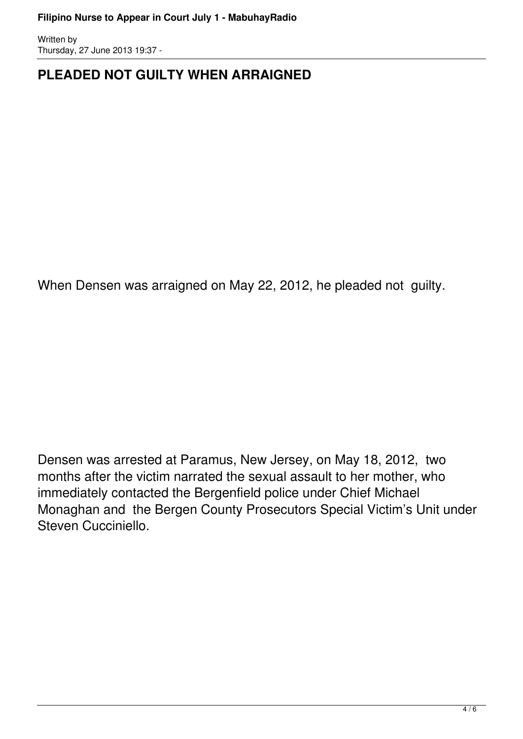Written by Thursday, 27 June 2013 19:37 -

## **PLEADED NOT GUILTY WHEN ARRAIGNED**

When Densen was arraigned on May 22, 2012, he pleaded not guilty.

Densen was arrested at Paramus, New Jersey, on May 18, 2012, two months after the victim narrated the sexual assault to her mother, who immediately contacted the Bergenfield police under Chief Michael Monaghan and the Bergen County Prosecutors Special Victim's Unit under Steven Cucciniello.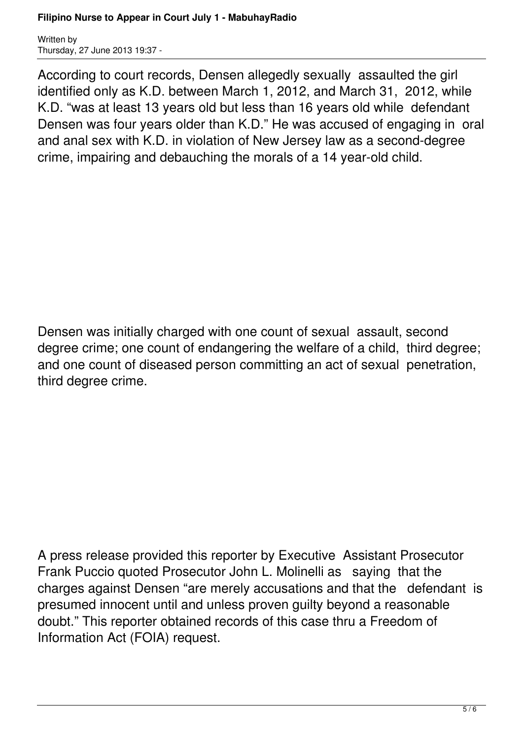Written by Thursday, 27 June 2013 19:37 -

According to court records, Densen allegedly sexually assaulted the girl identified only as K.D. between March 1, 2012, and March 31, 2012, while K.D. "was at least 13 years old but less than 16 years old while defendant Densen was four years older than K.D." He was accused of engaging in oral and anal sex with K.D. in violation of New Jersey law as a second-degree crime, impairing and debauching the morals of a 14 year-old child.

Densen was initially charged with one count of sexual assault, second degree crime; one count of endangering the welfare of a child, third degree; and one count of diseased person committing an act of sexual penetration, third degree crime.

A press release provided this reporter by Executive Assistant Prosecutor Frank Puccio quoted Prosecutor John L. Molinelli as saying that the charges against Densen "are merely accusations and that the defendant is presumed innocent until and unless proven guilty beyond a reasonable doubt." This reporter obtained records of this case thru a Freedom of Information Act (FOIA) request.